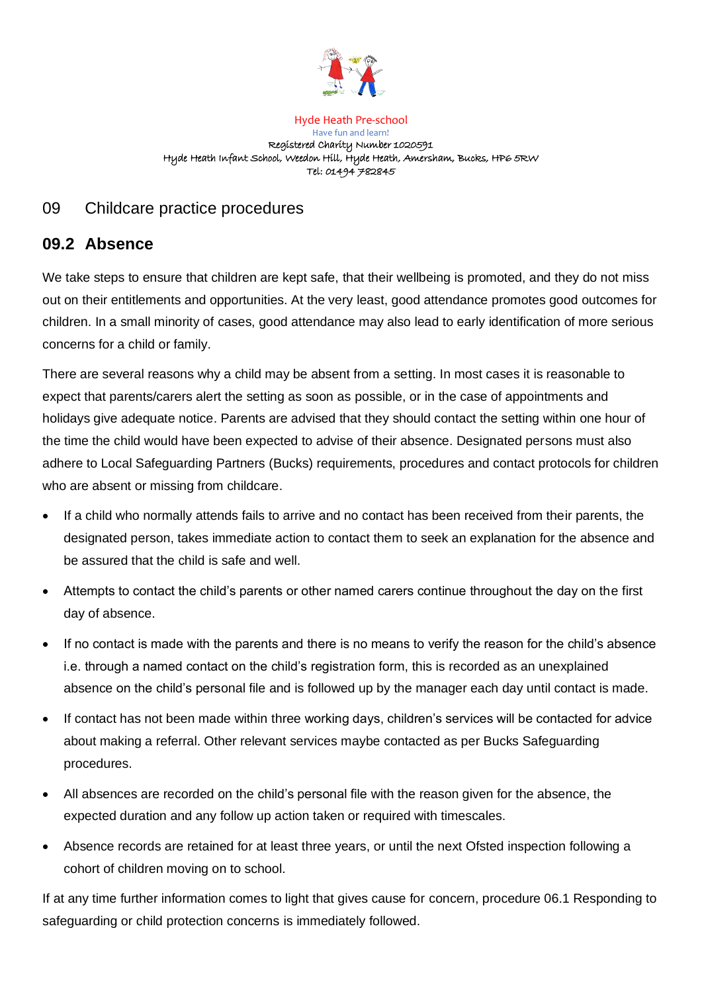

Hyde Heath Pre-school Have fun and learn! Registered Charity Number 1020591 Hyde Heath Infant School, Weedon Hill, Hyde Heath, Amersham, Bucks, HP6 5RW Tel: 01494 782845

# 09 Childcare practice procedures

# **09.2 Absence**

We take steps to ensure that children are kept safe, that their wellbeing is promoted, and they do not miss out on their entitlements and opportunities. At the very least, good attendance promotes good outcomes for children. In a small minority of cases, good attendance may also lead to early identification of more serious concerns for a child or family.

There are several reasons why a child may be absent from a setting. In most cases it is reasonable to expect that parents/carers alert the setting as soon as possible, or in the case of appointments and holidays give adequate notice. Parents are advised that they should contact the setting within one hour of the time the child would have been expected to advise of their absence. Designated persons must also adhere to Local Safeguarding Partners (Bucks) requirements, procedures and contact protocols for children who are absent or missing from childcare.

- If a child who normally attends fails to arrive and no contact has been received from their parents, the designated person, takes immediate action to contact them to seek an explanation for the absence and be assured that the child is safe and well.
- Attempts to contact the child's parents or other named carers continue throughout the day on the first day of absence.
- If no contact is made with the parents and there is no means to verify the reason for the child's absence i.e. through a named contact on the child's registration form, this is recorded as an unexplained absence on the child's personal file and is followed up by the manager each day until contact is made.
- If contact has not been made within three working days, children's services will be contacted for advice about making a referral. Other relevant services maybe contacted as per Bucks Safeguarding procedures.
- All absences are recorded on the child's personal file with the reason given for the absence, the expected duration and any follow up action taken or required with timescales.
- Absence records are retained for at least three years, or until the next Ofsted inspection following a cohort of children moving on to school.

If at any time further information comes to light that gives cause for concern, procedure 06.1 Responding to safeguarding or child protection concerns is immediately followed.